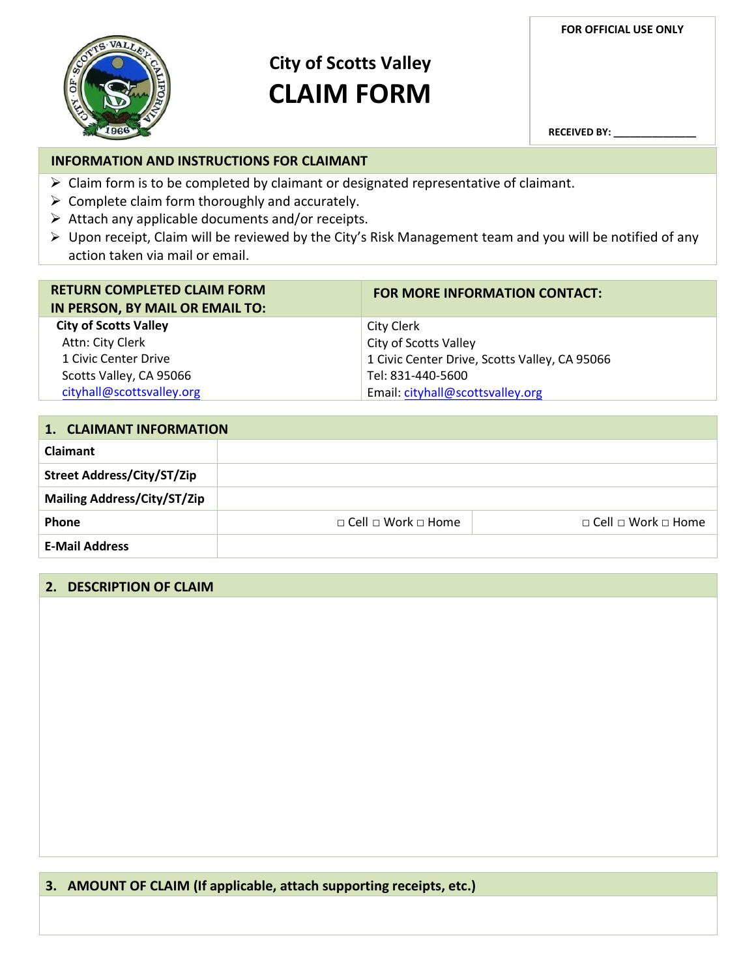**FOR OFFICIAL USE ONLY**



# **City of Scotts Valley CLAIM FORM**

**RECEIVED BY: \_\_\_\_\_\_\_\_\_\_\_\_\_\_\_**

# **INFORMATION AND INSTRUCTIONS FOR CLAIMANT**

- $\triangleright$  Claim form is to be completed by claimant or designated representative of claimant.
- $\triangleright$  Complete claim form thoroughly and accurately.
- $\triangleright$  Attach any applicable documents and/or receipts.
- Upon receipt, Claim will be reviewed by the City's Risk Management team and you will be notified of any action taken via mail or email.

| <b>RETURN COMPLETED CLAIM FORM</b><br>IN PERSON, BY MAIL OR EMAIL TO: | <b>FOR MORE INFORMATION CONTACT:</b>          |
|-----------------------------------------------------------------------|-----------------------------------------------|
| <b>City of Scotts Valley</b>                                          | City Clerk                                    |
| Attn: City Clerk                                                      | City of Scotts Valley                         |
| 1 Civic Center Drive                                                  | 1 Civic Center Drive, Scotts Valley, CA 95066 |
| Scotts Valley, CA 95066                                               | Tel: 831-440-5600                             |
| cityhall@scottsvalley.org                                             | Email: cityhall@scottsvalley.org              |

| 1. CLAIMANT INFORMATION            |                                     |                                     |
|------------------------------------|-------------------------------------|-------------------------------------|
| Claimant                           |                                     |                                     |
| <b>Street Address/City/ST/Zip</b>  |                                     |                                     |
| <b>Mailing Address/City/ST/Zip</b> |                                     |                                     |
| Phone                              | $\Box$ Cell $\Box$ Work $\Box$ Home | $\Box$ Cell $\Box$ Work $\Box$ Home |
| <b>E-Mail Address</b>              |                                     |                                     |

## **2. DESCRIPTION OF CLAIM**

# **3. AMOUNT OF CLAIM (If applicable, attach supporting receipts, etc.)**